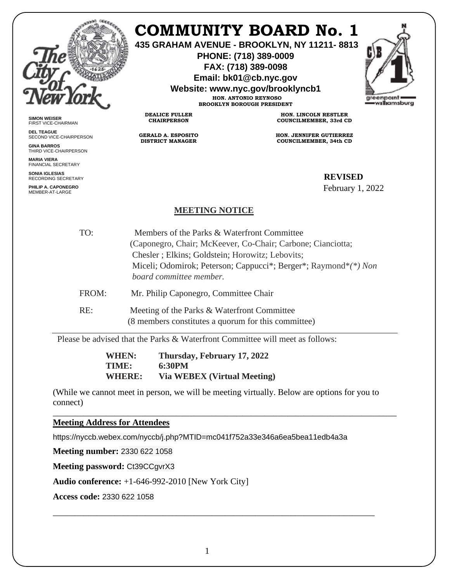

**SIMON WEISER** FIRST VICE-CHAIRMAN **DEL TEAGUE**

**GINA BARROS** THIRD VICE-CHAIRPERSON

**MARIA VIERA** FINANCIAL SECRETARY **SONIA IGLESIAS** RECORDING SECRETARY **PHILIP A. CAPONEGRO** MEMBER-AT-LARGE

SECOND VICE-CHAIRPERSON

## **COMMUNITY BOARD No. 1**

**435 GRAHAM AVENUE - BROOKLYN, NY 11211- 8813**

**PHONE: (718) 389-0009 FAX: (718) 389-0098**

**Email: bk01@cb.nyc.gov**

**Website: www.nyc.gov/brooklyncb1**

**HON. ANTONIO REYNOSO BROOKLYN BOROUGH PRESIDENT**

**DEALICE FULLER CHAIRPERSON**

**GERALD A. ESPOSITO DISTRICT MANAGER**

**HON. LINCOLN RESTLER COUNCILMEMBER, 33rd CD**

**HON. JENNIFER GUTIERREZ COUNCILMEMBER, 34th CD**

## SIAS GECRETARY **REVISED**

February 1, 2022

## **MEETING NOTICE**

TO: Members of the Parks & Waterfront Committee (Caponegro, Chair; McKeever, Co-Chair; Carbone; Cianciotta; Chesler ; Elkins; Goldstein; Horowitz; Lebovits; Miceli; Odomirok; Peterson; Cappucci\*; Berger\*; Raymond\**(\*) Non board committee member.* FROM: Mr. Philip Caponegro, Committee Chair RE: Meeting of the Parks & Waterfront Committee (8 members constitutes a quorum for this committee)

Please be advised that the Parks & Waterfront Committee will meet as follows:

**WHEN: Thursday, February 17, 2022 TIME: 6:30PM WHERE: Via WEBEX (Virtual Meeting)** 

(While we cannot meet in person, we will be meeting virtually. Below are options for you to connect)

\_\_\_\_\_\_\_\_\_\_\_\_\_\_\_\_\_\_\_\_\_\_\_\_\_\_\_\_\_\_\_\_\_\_\_\_\_\_\_\_\_\_\_\_\_\_\_\_\_\_\_\_\_\_\_\_\_\_\_\_\_\_\_\_\_\_\_\_\_\_\_\_\_\_\_\_\_\_

**Meeting Address for Attendees** 

https://nyccb.webex.com/nyccb/j.php?MTID=mc041f752a33e346a6ea5bea11edb4a3a

**Meeting number:** 2330 622 1058

**Meeting password:** Ct39CCgvrX3

**Audio conference:** +1-646-992-2010 [New York City]

**Access code:** 2330 622 1058

\_\_\_\_\_\_\_\_\_\_\_\_\_\_\_\_\_\_\_\_\_\_\_\_\_\_\_\_\_\_\_\_\_\_\_\_\_\_\_\_\_\_\_\_\_\_\_\_\_\_\_\_\_\_\_\_\_\_\_\_\_\_\_\_\_\_\_\_\_\_\_\_\_